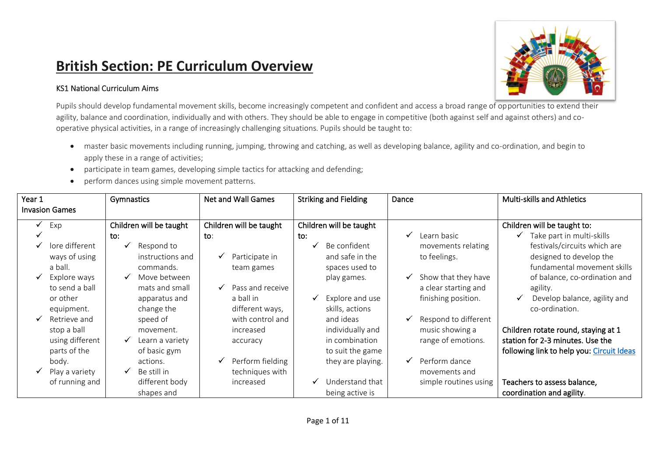## **British Section: PE Curriculum Overview**

## KS1 National Curriculum Aims



Pupils should develop fundamental movement skills, become increasingly competent and confident and access a broad range of opportunities to extend their agility, balance and coordination, individually and with others. They should be able to engage in competitive (both against self and against others) and cooperative physical activities, in a range of increasingly challenging situations. Pupils should be taught to:

- master basic movements including running, jumping, throwing and catching, as well as developing balance, agility and co-ordination, and begin to apply these in a range of activities;
- participate in team games, developing simple tactics for attacking and defending;
- perform dances using simple movement patterns.

| Year 1 | <b>Invasion Games</b> | Gymnastics                      | <b>Net and Wall Games</b> | <b>Striking and Fielding</b>    | Dance                    | <b>Multi-skills and Athletics</b>         |
|--------|-----------------------|---------------------------------|---------------------------|---------------------------------|--------------------------|-------------------------------------------|
| ✔      | Exp                   | Children will be taught         | Children will be taught   | Children will be taught         |                          | Children will be taught to:               |
|        |                       | to:                             | $\mathsf{to}:$            | to:                             | Learn basic              | Take part in multi-skills                 |
|        | lore different        | Respond to                      |                           | Be confident<br>✓               | movements relating       | festivals/circuits which are              |
|        | ways of using         | instructions and                | Participate in<br>v       | and safe in the                 | to feelings.             | designed to develop the                   |
|        | a ball.               | commands.                       | team games                | spaces used to                  |                          | fundamental movement skills               |
|        | Explore ways          | Move between                    |                           | play games.                     | Show that they have<br>✓ | of balance, co-ordination and             |
|        | to send a ball        | mats and small                  | Pass and receive<br>✔     |                                 | a clear starting and     | agility.                                  |
|        | or other              | apparatus and                   | a ball in                 | Explore and use<br>$\checkmark$ | finishing position.      | Develop balance, agility and<br>✔         |
|        | equipment.            | change the                      | different ways,           | skills, actions                 |                          | co-ordination.                            |
|        | Retrieve and          | speed of                        | with control and          | and ideas                       | Respond to different     |                                           |
|        | stop a ball           | movement.                       | increased                 | individually and                | music showing a          | Children rotate round, staying at 1       |
|        | using different       | $\checkmark$<br>Learn a variety | accuracy                  | in combination                  | range of emotions.       | station for 2-3 minutes. Use the          |
|        | parts of the          | of basic gym                    |                           | to suit the game                |                          | following link to help you: Circuit Ideas |
|        | body.                 | actions.                        | Perform fielding          | they are playing.               | Perform dance            |                                           |
|        | Play a variety        | Be still in                     | techniques with           |                                 | movements and            |                                           |
|        | of running and        | different body                  | increased                 | Understand that<br>✔            | simple routines using    | Teachers to assess balance,               |
|        |                       | shapes and                      |                           | being active is                 |                          | coordination and agility.                 |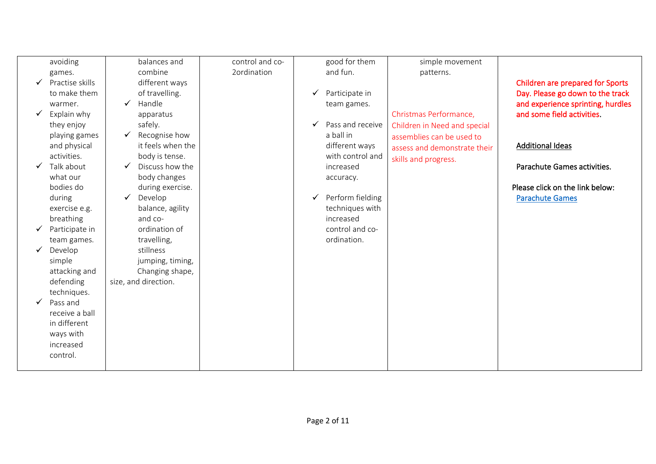|              | avoiding        | balances and         | control and co- |   | good for them    | simple movement              |                                   |
|--------------|-----------------|----------------------|-----------------|---|------------------|------------------------------|-----------------------------------|
|              | games.          | combine              | 2ordination     |   | and fun.         | patterns.                    |                                   |
| ✓            | Practise skills | different ways       |                 |   |                  |                              | Children are prepared for Sports  |
|              | to make them    | of travelling.       |                 | ✓ | Participate in   |                              | Day. Please go down to the track  |
|              | warmer.         | Handle<br>✓          |                 |   | team games.      |                              | and experience sprinting, hurdles |
| $\checkmark$ | Explain why     | apparatus            |                 |   |                  | Christmas Performance,       | and some field activities.        |
|              | they enjoy      | safely.              |                 | ✓ | Pass and receive | Children in Need and special |                                   |
|              | playing games   | Recognise how<br>✔   |                 |   | a ball in        | assemblies can be used to    |                                   |
|              | and physical    | it feels when the    |                 |   | different ways   | assess and demonstrate their | <b>Additional Ideas</b>           |
|              | activities.     | body is tense.       |                 |   | with control and |                              |                                   |
| √            | Talk about      | Discuss how the<br>✓ |                 |   | increased        | skills and progress.         | Parachute Games activities.       |
|              | what our        | body changes         |                 |   | accuracy.        |                              |                                   |
|              | bodies do       | during exercise.     |                 |   |                  |                              | Please click on the link below:   |
|              | during          | Develop<br>✓         |                 | ✓ | Perform fielding |                              | <b>Parachute Games</b>            |
|              | exercise e.g.   | balance, agility     |                 |   | techniques with  |                              |                                   |
|              | breathing       | and co-              |                 |   | increased        |                              |                                   |
|              | Participate in  | ordination of        |                 |   | control and co-  |                              |                                   |
|              | team games.     | travelling,          |                 |   | ordination.      |                              |                                   |
|              | Develop         | stillness            |                 |   |                  |                              |                                   |
|              | simple          | jumping, timing,     |                 |   |                  |                              |                                   |
|              | attacking and   | Changing shape,      |                 |   |                  |                              |                                   |
|              | defending       | size, and direction. |                 |   |                  |                              |                                   |
|              | techniques.     |                      |                 |   |                  |                              |                                   |
|              | Pass and        |                      |                 |   |                  |                              |                                   |
|              | receive a ball  |                      |                 |   |                  |                              |                                   |
|              | in different    |                      |                 |   |                  |                              |                                   |
|              |                 |                      |                 |   |                  |                              |                                   |
|              | ways with       |                      |                 |   |                  |                              |                                   |
|              | increased       |                      |                 |   |                  |                              |                                   |
|              | control.        |                      |                 |   |                  |                              |                                   |
|              |                 |                      |                 |   |                  |                              |                                   |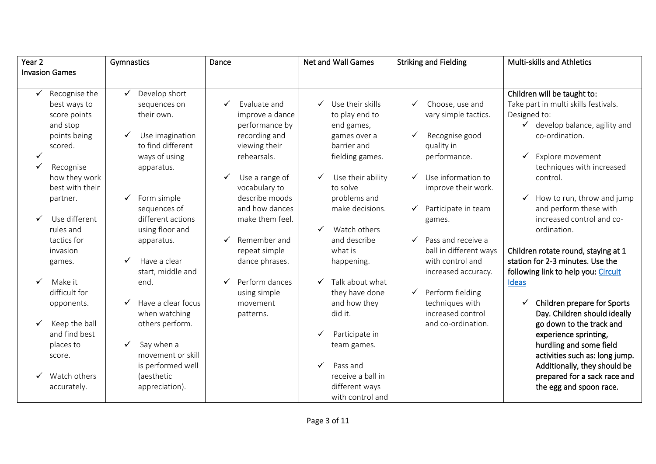| Year <sub>2</sub> |                       | Gymnastics                 | Dance               | <b>Net and Wall Games</b> | <b>Striking and Fielding</b> | <b>Multi-skills and Athletics</b>         |
|-------------------|-----------------------|----------------------------|---------------------|---------------------------|------------------------------|-------------------------------------------|
|                   | <b>Invasion Games</b> |                            |                     |                           |                              |                                           |
|                   |                       |                            |                     |                           |                              |                                           |
|                   | Recognise the         | Develop short<br>✓         |                     |                           |                              | Children will be taught to:               |
|                   | best ways to          | sequences on               | Evaluate and<br>✓   | Use their skills<br>✓     | Choose, use and<br>✓         | Take part in multi skills festivals.      |
|                   | score points          | their own.                 | improve a dance     | to play end to            | vary simple tactics.         | Designed to:                              |
|                   | and stop              |                            | performance by      | end games,                |                              | $\checkmark$ develop balance, agility and |
|                   | points being          | Use imagination<br>✓       | recording and       | games over a              | Recognise good<br>✔          | co-ordination.                            |
|                   | scored.               | to find different          | viewing their       | barrier and               | quality in                   |                                           |
|                   |                       | ways of using              | rehearsals.         | fielding games.           | performance.                 | Explore movement<br>✓                     |
| ✓                 | Recognise             | apparatus.                 |                     |                           |                              | techniques with increased                 |
|                   | how they work         |                            | Use a range of<br>✓ | Use their ability         | Use information to<br>✓      | control.                                  |
|                   | best with their       |                            | vocabulary to       | to solve                  | improve their work.          |                                           |
|                   | partner.              | Form simple<br>✓           | describe moods      | problems and              |                              | How to run, throw and jump<br>✔           |
|                   |                       | sequences of               | and how dances      | make decisions.           | Participate in team<br>✓     | and perform these with                    |
|                   | Use different         | different actions          | make them feel.     |                           | games.                       | increased control and co-                 |
|                   | rules and             | using floor and            |                     | Watch others              |                              | ordination.                               |
|                   | tactics for           | apparatus.                 | Remember and        | and describe              | Pass and receive a<br>✓      |                                           |
|                   | invasion              |                            | repeat simple       | what is                   | ball in different ways       | Children rotate round, staying at 1       |
|                   | games.                | ✓<br>Have a clear          | dance phrases.      | happening.                | with control and             | station for 2-3 minutes. Use the          |
|                   |                       | start, middle and          |                     |                           | increased accuracy.          | following link to help you: Circuit       |
|                   | Make it               | end.                       | Perform dances      | Talk about what           |                              | Ideas                                     |
|                   | difficult for         |                            | using simple        | they have done            | Perform fielding<br>✓        |                                           |
|                   | opponents.            | Have a clear focus<br>✓    | movement            | and how they              | techniques with              | Children prepare for Sports               |
|                   |                       | when watching              | patterns.           | did it.                   | increased control            | Day. Children should ideally              |
| ✓                 | Keep the ball         | others perform.            |                     |                           | and co-ordination.           | go down to the track and                  |
|                   | and find best         |                            |                     | Participate in            |                              | experience sprinting,                     |
|                   | places to             | Say when a<br>$\checkmark$ |                     | team games.               |                              | hurdling and some field                   |
|                   | score.                | movement or skill          |                     |                           |                              | activities such as: long jump.            |
|                   |                       | is performed well          |                     | Pass and                  |                              | Additionally, they should be              |
|                   | Watch others          | (aesthetic                 |                     | receive a ball in         |                              | prepared for a sack race and              |
|                   | accurately.           | appreciation).             |                     | different ways            |                              | the egg and spoon race.                   |
|                   |                       |                            |                     | with control and          |                              |                                           |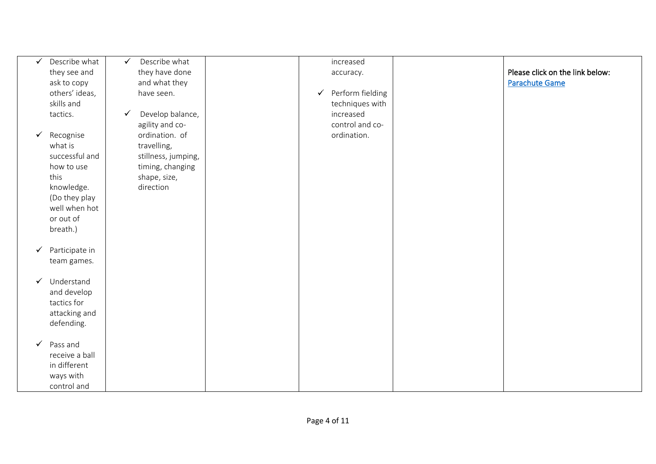| √<br>tactics.        | Describe what<br>they see and<br>ask to copy<br>others' ideas,<br>skills and                                       | $\checkmark$<br>$\checkmark$ | Describe what<br>they have done<br>and what they<br>have seen.<br>Develop balance,<br>agility and co- | ✓ | increased<br>accuracy.<br>Perform fielding<br>techniques with<br>increased<br>control and co- | Please click on the link below:<br><b>Parachute Game</b> |
|----------------------|--------------------------------------------------------------------------------------------------------------------|------------------------------|-------------------------------------------------------------------------------------------------------|---|-----------------------------------------------------------------------------------------------|----------------------------------------------------------|
| ✓<br>what is<br>this | Recognise<br>successful and<br>how to use<br>knowledge.<br>(Do they play<br>well when hot<br>or out of<br>breath.) |                              | ordination. of<br>travelling,<br>stillness, jumping,<br>timing, changing<br>shape, size,<br>direction |   | ordination.                                                                                   |                                                          |
| ✔                    | Participate in<br>team games.                                                                                      |                              |                                                                                                       |   |                                                                                               |                                                          |
| $\checkmark$         | Understand<br>and develop<br>tactics for<br>attacking and<br>defending.                                            |                              |                                                                                                       |   |                                                                                               |                                                          |
| $\checkmark$         | Pass and<br>receive a ball<br>in different<br>ways with<br>control and                                             |                              |                                                                                                       |   |                                                                                               |                                                          |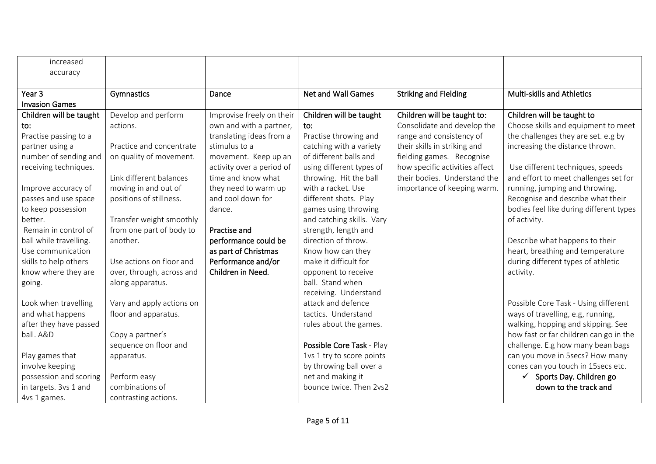| increased               |                           |                           |                           |                                |                                         |
|-------------------------|---------------------------|---------------------------|---------------------------|--------------------------------|-----------------------------------------|
| accuracy                |                           |                           |                           |                                |                                         |
|                         |                           |                           |                           |                                |                                         |
| Year <sub>3</sub>       | Gymnastics                | Dance                     | <b>Net and Wall Games</b> | <b>Striking and Fielding</b>   | <b>Multi-skills and Athletics</b>       |
| <b>Invasion Games</b>   |                           |                           |                           |                                |                                         |
| Children will be taught | Develop and perform       | Improvise freely on their | Children will be taught   | Children will be taught to:    | Children will be taught to              |
| to:                     | actions.                  | own and with a partner,   | to:                       | Consolidate and develop the    | Choose skills and equipment to meet     |
| Practise passing to a   |                           | translating ideas from a  | Practise throwing and     | range and consistency of       | the challenges they are set. e.g by     |
| partner using a         | Practice and concentrate  | stimulus to a             | catching with a variety   | their skills in striking and   | increasing the distance thrown.         |
| number of sending and   | on quality of movement.   | movement. Keep up an      | of different balls and    | fielding games. Recognise      |                                         |
| receiving techniques.   |                           | activity over a period of | using different types of  | how specific activities affect | Use different techniques, speeds        |
|                         | Link different balances   | time and know what        | throwing. Hit the ball    | their bodies. Understand the   | and effort to meet challenges set for   |
| Improve accuracy of     | moving in and out of      | they need to warm up      | with a racket. Use        | importance of keeping warm.    | running, jumping and throwing.          |
| passes and use space    | positions of stillness.   | and cool down for         | different shots. Play     |                                | Recognise and describe what their       |
| to keep possession      |                           | dance.                    | games using throwing      |                                | bodies feel like during different types |
| better.                 | Transfer weight smoothly  |                           | and catching skills. Vary |                                | of activity.                            |
| Remain in control of    | from one part of body to  | Practise and              | strength, length and      |                                |                                         |
| ball while travelling.  | another.                  | performance could be      | direction of throw.       |                                | Describe what happens to their          |
| Use communication       |                           | as part of Christmas      | Know how can they         |                                | heart, breathing and temperature        |
| skills to help others   | Use actions on floor and  | Performance and/or        | make it difficult for     |                                | during different types of athletic      |
| know where they are     | over, through, across and | Children in Need.         | opponent to receive       |                                | activity.                               |
| going.                  | along apparatus.          |                           | ball. Stand when          |                                |                                         |
|                         |                           |                           | receiving. Understand     |                                |                                         |
| Look when travelling    | Vary and apply actions on |                           | attack and defence        |                                | Possible Core Task - Using different    |
| and what happens        | floor and apparatus.      |                           | tactics. Understand       |                                | ways of travelling, e.g, running,       |
| after they have passed  |                           |                           | rules about the games.    |                                | walking, hopping and skipping. See      |
| ball. A&D               | Copy a partner's          |                           |                           |                                | how fast or far children can go in the  |
|                         | sequence on floor and     |                           | Possible Core Task - Play |                                | challenge. E.g how many bean bags       |
| Play games that         | apparatus.                |                           | 1vs 1 try to score points |                                | can you move in 5secs? How many         |
| involve keeping         |                           |                           | by throwing ball over a   |                                | cones can you touch in 15secs etc.      |
| possession and scoring  | Perform easy              |                           | net and making it         |                                | $\checkmark$ Sports Day. Children go    |
| in targets. 3vs 1 and   | combinations of           |                           | bounce twice. Then 2vs2   |                                | down to the track and                   |
| 4vs 1 games.            | contrasting actions.      |                           |                           |                                |                                         |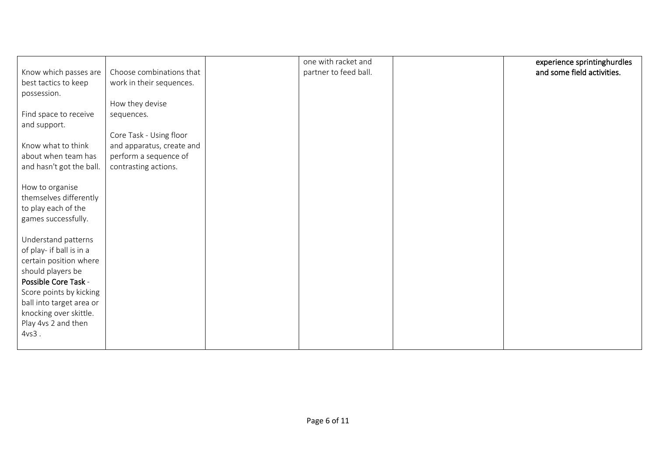|                          |                           | one with racket and   | experience sprintinghurdles |
|--------------------------|---------------------------|-----------------------|-----------------------------|
| Know which passes are    | Choose combinations that  | partner to feed ball. | and some field activities.  |
| best tactics to keep     | work in their sequences.  |                       |                             |
|                          |                           |                       |                             |
| possession.              |                           |                       |                             |
|                          | How they devise           |                       |                             |
| Find space to receive    | sequences.                |                       |                             |
| and support.             |                           |                       |                             |
|                          |                           |                       |                             |
|                          | Core Task - Using floor   |                       |                             |
| Know what to think       | and apparatus, create and |                       |                             |
| about when team has      | perform a sequence of     |                       |                             |
| and hasn't got the ball. | contrasting actions.      |                       |                             |
|                          |                           |                       |                             |
|                          |                           |                       |                             |
| How to organise          |                           |                       |                             |
| themselves differently   |                           |                       |                             |
| to play each of the      |                           |                       |                             |
| games successfully.      |                           |                       |                             |
|                          |                           |                       |                             |
|                          |                           |                       |                             |
| Understand patterns      |                           |                       |                             |
| of play- if ball is in a |                           |                       |                             |
| certain position where   |                           |                       |                             |
| should players be        |                           |                       |                             |
| Possible Core Task -     |                           |                       |                             |
|                          |                           |                       |                             |
| Score points by kicking  |                           |                       |                             |
| ball into target area or |                           |                       |                             |
| knocking over skittle.   |                           |                       |                             |
| Play 4vs 2 and then      |                           |                       |                             |
| $4vs3$ .                 |                           |                       |                             |
|                          |                           |                       |                             |
|                          |                           |                       |                             |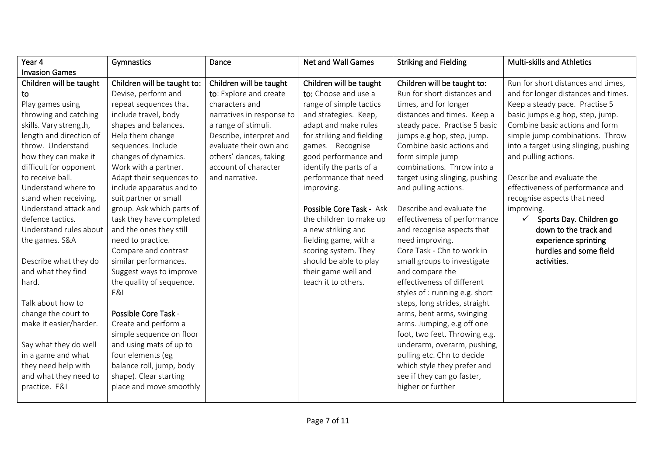| Year 4                  | Gymnastics                  | Dance                     | <b>Net and Wall Games</b> | <b>Striking and Fielding</b>   | <b>Multi-skills and Athletics</b>     |
|-------------------------|-----------------------------|---------------------------|---------------------------|--------------------------------|---------------------------------------|
| <b>Invasion Games</b>   |                             |                           |                           |                                |                                       |
| Children will be taught | Children will be taught to: | Children will be taught   | Children will be taught   | Children will be taught to:    | Run for short distances and times,    |
| to                      | Devise, perform and         | to: Explore and create    | to: Choose and use a      | Run for short distances and    | and for longer distances and times.   |
| Play games using        | repeat sequences that       | characters and            | range of simple tactics   | times, and for longer          | Keep a steady pace. Practise 5        |
| throwing and catching   | include travel, body        | narratives in response to | and strategies. Keep,     | distances and times. Keep a    | basic jumps e.g hop, step, jump.      |
| skills. Vary strength,  | shapes and balances.        | a range of stimuli.       | adapt and make rules      | steady pace. Practise 5 basic  | Combine basic actions and form        |
| length and direction of | Help them change            | Describe, interpret and   | for striking and fielding | jumps e.g hop, step, jump.     | simple jump combinations. Throw       |
| throw. Understand       | sequences. Include          | evaluate their own and    | games. Recognise          | Combine basic actions and      | into a target using slinging, pushing |
| how they can make it    | changes of dynamics.        | others' dances, taking    | good performance and      | form simple jump               | and pulling actions.                  |
| difficult for opponent  | Work with a partner.        | account of character      | identify the parts of a   | combinations. Throw into a     |                                       |
| to receive ball.        | Adapt their sequences to    | and narrative.            | performance that need     | target using slinging, pushing | Describe and evaluate the             |
| Understand where to     | include apparatus and to    |                           | improving.                | and pulling actions.           | effectiveness of performance and      |
| stand when receiving.   | suit partner or small       |                           |                           |                                | recognise aspects that need           |
| Understand attack and   | group. Ask which parts of   |                           | Possible Core Task - Ask  | Describe and evaluate the      | improving.                            |
| defence tactics.        | task they have completed    |                           | the children to make up   | effectiveness of performance   | ✓<br>Sports Day. Children go          |
| Understand rules about  | and the ones they still     |                           | a new striking and        | and recognise aspects that     | down to the track and                 |
| the games. S&A          | need to practice.           |                           | fielding game, with a     | need improving.                | experience sprinting                  |
|                         | Compare and contrast        |                           | scoring system. They      | Core Task - Chn to work in     | hurdles and some field                |
| Describe what they do   | similar performances.       |                           | should be able to play    | small groups to investigate    | activities.                           |
| and what they find      | Suggest ways to improve     |                           | their game well and       | and compare the                |                                       |
| hard.                   | the quality of sequence.    |                           | teach it to others.       | effectiveness of different     |                                       |
|                         | E&I                         |                           |                           | styles of : running e.g. short |                                       |
| Talk about how to       |                             |                           |                           | steps, long strides, straight  |                                       |
| change the court to     | Possible Core Task -        |                           |                           | arms, bent arms, swinging      |                                       |
| make it easier/harder.  | Create and perform a        |                           |                           | arms. Jumping, e.g off one     |                                       |
|                         | simple sequence on floor    |                           |                           | foot, two feet. Throwing e.g.  |                                       |
| Say what they do well   | and using mats of up to     |                           |                           | underarm, overarm, pushing,    |                                       |
| in a game and what      | four elements (eg           |                           |                           | pulling etc. Chn to decide     |                                       |
| they need help with     | balance roll, jump, body    |                           |                           | which style they prefer and    |                                       |
| and what they need to   | shape). Clear starting      |                           |                           | see if they can go faster,     |                                       |
| practice. E&I           | place and move smoothly     |                           |                           | higher or further              |                                       |
|                         |                             |                           |                           |                                |                                       |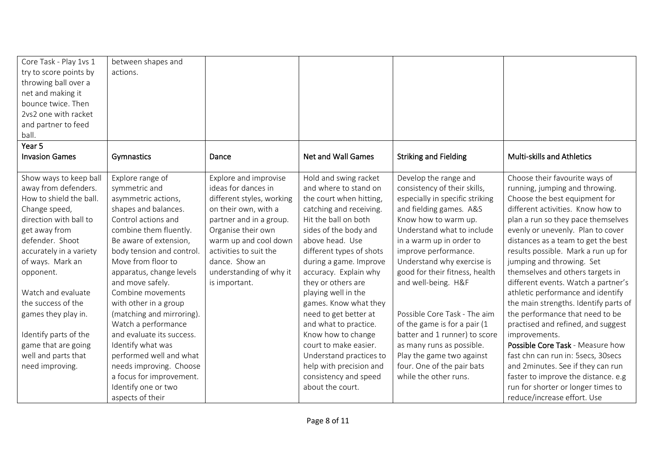| Core Task - Play 1vs 1  | between shapes and        |                           |                          |                                 |                                       |
|-------------------------|---------------------------|---------------------------|--------------------------|---------------------------------|---------------------------------------|
| try to score points by  | actions.                  |                           |                          |                                 |                                       |
| throwing ball over a    |                           |                           |                          |                                 |                                       |
| net and making it       |                           |                           |                          |                                 |                                       |
| bounce twice. Then      |                           |                           |                          |                                 |                                       |
| 2vs2 one with racket    |                           |                           |                          |                                 |                                       |
| and partner to feed     |                           |                           |                          |                                 |                                       |
| ball.                   |                           |                           |                          |                                 |                                       |
| Year 5                  |                           |                           |                          |                                 |                                       |
| <b>Invasion Games</b>   | Gymnastics                | Dance                     | Net and Wall Games       | <b>Striking and Fielding</b>    | <b>Multi-skills and Athletics</b>     |
|                         |                           |                           |                          |                                 |                                       |
| Show ways to keep ball  | Explore range of          | Explore and improvise     | Hold and swing racket    | Develop the range and           | Choose their favourite ways of        |
| away from defenders.    | symmetric and             | ideas for dances in       | and where to stand on    | consistency of their skills,    | running, jumping and throwing.        |
| How to shield the ball. | asymmetric actions,       | different styles, working | the court when hitting,  | especially in specific striking | Choose the best equipment for         |
| Change speed,           | shapes and balances.      | on their own, with a      | catching and receiving.  | and fielding games. A&S         | different activities. Know how to     |
| direction with ball to  | Control actions and       | partner and in a group.   | Hit the ball on both     | Know how to warm up.            | plan a run so they pace themselves    |
| get away from           | combine them fluently.    | Organise their own        | sides of the body and    | Understand what to include      | evenly or unevenly. Plan to cover     |
| defender. Shoot         | Be aware of extension,    | warm up and cool down     | above head. Use          | in a warm up in order to        | distances as a team to get the best   |
| accurately in a variety | body tension and control. | activities to suit the    | different types of shots | improve performance.            | results possible. Mark a run up for   |
| of ways. Mark an        | Move from floor to        | dance. Show an            | during a game. Improve   | Understand why exercise is      | jumping and throwing. Set             |
| opponent.               | apparatus, change levels  | understanding of why it   | accuracy. Explain why    | good for their fitness, health  | themselves and others targets in      |
|                         | and move safely.          | is important.             | they or others are       | and well-being. H&F             | different events. Watch a partner's   |
| Watch and evaluate      | Combine movements         |                           | playing well in the      |                                 | athletic performance and identify     |
| the success of the      | with other in a group     |                           | games. Know what they    |                                 | the main strengths. Identify parts of |
| games they play in.     | (matching and mirroring). |                           | need to get better at    | Possible Core Task - The aim    | the performance that need to be       |
|                         | Watch a performance       |                           | and what to practice.    | of the game is for a pair (1    | practised and refined, and suggest    |
| Identify parts of the   | and evaluate its success. |                           | Know how to change       | batter and 1 runner) to score   | improvements.                         |
| game that are going     | Identify what was         |                           | court to make easier.    | as many runs as possible.       | Possible Core Task - Measure how      |
| well and parts that     | performed well and what   |                           | Understand practices to  | Play the game two against       | fast chn can run in: 5secs, 30secs    |
| need improving.         | needs improving. Choose   |                           | help with precision and  | four. One of the pair bats      | and 2minutes. See if they can run     |
|                         | a focus for improvement.  |                           | consistency and speed    | while the other runs.           | faster to improve the distance. e.g   |
|                         | Identify one or two       |                           | about the court.         |                                 | run for shorter or longer times to    |
|                         | aspects of their          |                           |                          |                                 | reduce/increase effort. Use           |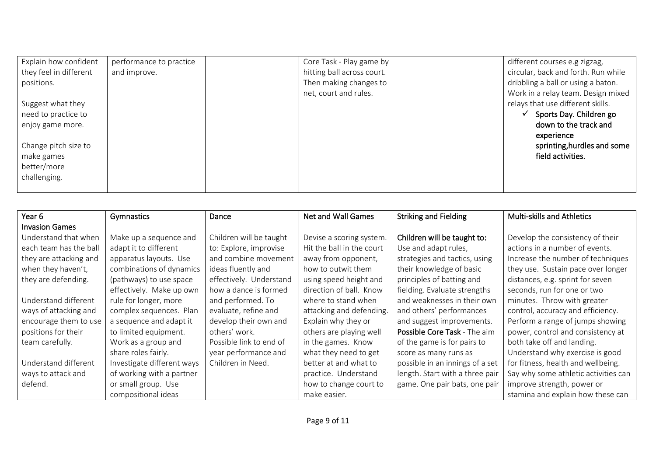| Explain how confident  | performance to practice | Core Task - Play game by   | different courses e.g zigzag,       |
|------------------------|-------------------------|----------------------------|-------------------------------------|
| they feel in different | and improve.            | hitting ball across court. | circular, back and forth. Run while |
| positions.             |                         | Then making changes to     | dribbling a ball or using a baton.  |
|                        |                         | net, court and rules.      | Work in a relay team. Design mixed  |
| Suggest what they      |                         |                            | relays that use different skills.   |
| need to practice to    |                         |                            | Sports Day. Children go             |
| enjoy game more.       |                         |                            | down to the track and               |
|                        |                         |                            | experience                          |
| Change pitch size to   |                         |                            | sprinting, hurdles and some         |
| make games             |                         |                            | field activities.                   |
| better/more            |                         |                            |                                     |
| challenging.           |                         |                            |                                     |
|                        |                         |                            |                                     |

| Year <sub>6</sub>      | Gymnastics                 | Dance                   | <b>Net and Wall Games</b> | <b>Striking and Fielding</b>    | <b>Multi-skills and Athletics</b>    |
|------------------------|----------------------------|-------------------------|---------------------------|---------------------------------|--------------------------------------|
| <b>Invasion Games</b>  |                            |                         |                           |                                 |                                      |
| Understand that when   | Make up a sequence and     | Children will be taught | Devise a scoring system.  | Children will be taught to:     | Develop the consistency of their     |
| each team has the ball | adapt it to different      | to: Explore, improvise  | Hit the ball in the court | Use and adapt rules,            | actions in a number of events.       |
| they are attacking and | apparatus layouts. Use     | and combine movement    | away from opponent,       | strategies and tactics, using   | Increase the number of techniques    |
| when they haven't,     | combinations of dynamics   | ideas fluently and      | how to outwit them        | their knowledge of basic        | they use. Sustain pace over longer   |
| they are defending.    | (pathways) to use space    | effectively. Understand | using speed height and    | principles of batting and       | distances, e.g. sprint for seven     |
|                        | effectively. Make up own   | how a dance is formed   | direction of ball. Know   | fielding. Evaluate strengths    | seconds, run for one or two          |
| Understand different   | rule for longer, more      | and performed. To       | where to stand when       | and weaknesses in their own     | minutes. Throw with greater          |
| ways of attacking and  | complex sequences. Plan    | evaluate, refine and    | attacking and defending.  | and others' performances        | control, accuracy and efficiency.    |
| encourage them to use  | a sequence and adapt it    | develop their own and   | Explain why they or       | and suggest improvements.       | Perform a range of jumps showing     |
| positions for their    | to limited equipment.      | others' work.           | others are playing well   | Possible Core Task - The aim    | power, control and consistency at    |
| team carefully.        | Work as a group and        | Possible link to end of | in the games. Know        | of the game is for pairs to     | both take off and landing.           |
|                        | share roles fairly.        | year performance and    | what they need to get     | score as many runs as           | Understand why exercise is good      |
| Understand different   | Investigate different ways | Children in Need.       | better at and what to     | possible in an innings of a set | for fitness, health and wellbeing.   |
| ways to attack and     | of working with a partner  |                         | practice. Understand      | length. Start with a three pair | Say why some athletic activities can |
| defend.                | or small group. Use        |                         | how to change court to    | game. One pair bats, one pair   | improve strength, power or           |
|                        | compositional ideas        |                         | make easier.              |                                 | stamina and explain how these can    |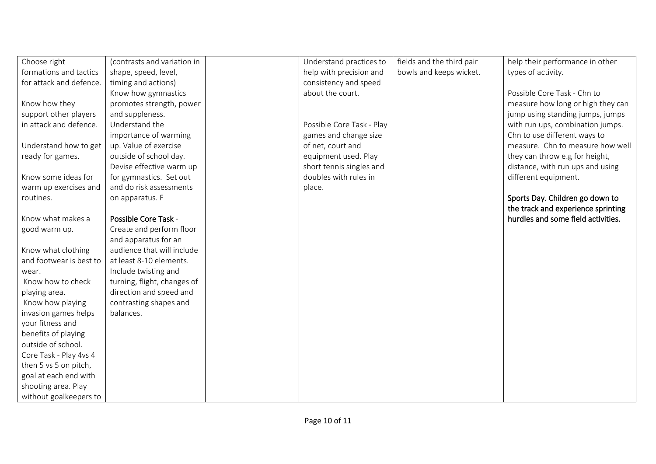| Choose right            | (contrasts and variation in | Understand practices to   | fields and the third pair | help their performance in other    |
|-------------------------|-----------------------------|---------------------------|---------------------------|------------------------------------|
| formations and tactics  | shape, speed, level,        | help with precision and   | bowls and keeps wicket.   | types of activity.                 |
| for attack and defence. | timing and actions)         | consistency and speed     |                           |                                    |
|                         | Know how gymnastics         | about the court.          |                           | Possible Core Task - Chn to        |
| Know how they           | promotes strength, power    |                           |                           | measure how long or high they can  |
| support other players   | and suppleness.             |                           |                           | jump using standing jumps, jumps   |
| in attack and defence.  | Understand the              | Possible Core Task - Play |                           | with run ups, combination jumps.   |
|                         | importance of warming       | games and change size     |                           | Chn to use different ways to       |
| Understand how to get   | up. Value of exercise       | of net, court and         |                           | measure. Chn to measure how well   |
| ready for games.        | outside of school day.      | equipment used. Play      |                           | they can throw e.g for height,     |
|                         | Devise effective warm up    | short tennis singles and  |                           | distance, with run ups and using   |
| Know some ideas for     | for gymnastics. Set out     | doubles with rules in     |                           | different equipment.               |
| warm up exercises and   | and do risk assessments     | place.                    |                           |                                    |
| routines.               | on apparatus. F             |                           |                           | Sports Day. Children go down to    |
|                         |                             |                           |                           | the track and experience sprinting |
| Know what makes a       | Possible Core Task -        |                           |                           | hurdles and some field activities. |
| good warm up.           | Create and perform floor    |                           |                           |                                    |
|                         | and apparatus for an        |                           |                           |                                    |
| Know what clothing      | audience that will include  |                           |                           |                                    |
| and footwear is best to | at least 8-10 elements.     |                           |                           |                                    |
| wear.                   | Include twisting and        |                           |                           |                                    |
| Know how to check       | turning, flight, changes of |                           |                           |                                    |
| playing area.           | direction and speed and     |                           |                           |                                    |
| Know how playing        | contrasting shapes and      |                           |                           |                                    |
| invasion games helps    | balances.                   |                           |                           |                                    |
| your fitness and        |                             |                           |                           |                                    |
| benefits of playing     |                             |                           |                           |                                    |
| outside of school.      |                             |                           |                           |                                    |
| Core Task - Play 4vs 4  |                             |                           |                           |                                    |
| then 5 vs 5 on pitch,   |                             |                           |                           |                                    |
| goal at each end with   |                             |                           |                           |                                    |
| shooting area. Play     |                             |                           |                           |                                    |
| without goalkeepers to  |                             |                           |                           |                                    |